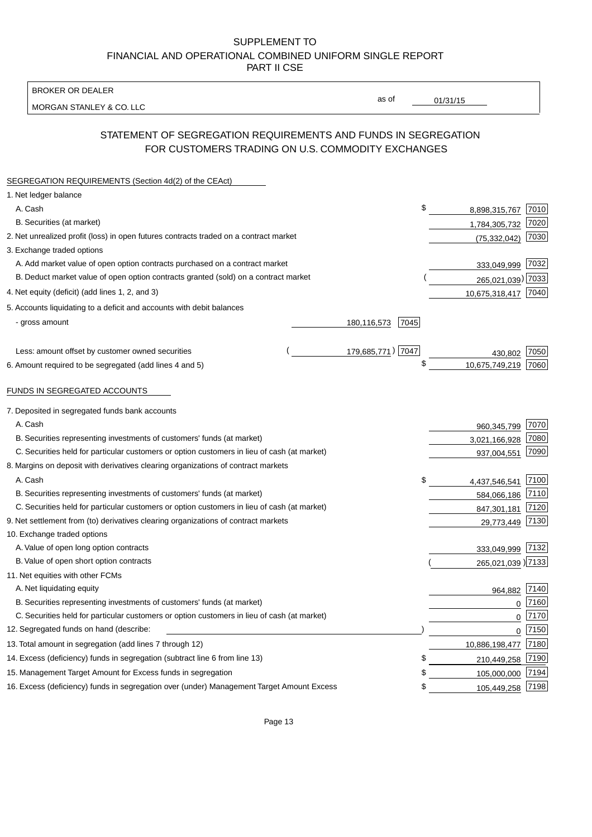BROKER OR DEALER

MORGAN STANLEY & CO. LLC

01/31/15

as of

# STATEMENT OF SEGREGATION REQUIREMENTS AND FUNDS IN SEGREGATION FOR CUSTOMERS TRADING ON U.S. COMMODITY EXCHANGES

| SEGREGATION REQUIREMENTS (Section 4d(2) of the CEAct)                                       |                     |                        |          |
|---------------------------------------------------------------------------------------------|---------------------|------------------------|----------|
| 1. Net ledger balance                                                                       |                     |                        |          |
| A. Cash                                                                                     |                     | \$<br>8,898,315,767    | 7010     |
| B. Securities (at market)                                                                   |                     | 1,784,305,732          | 7020     |
| 2. Net unrealized profit (loss) in open futures contracts traded on a contract market       |                     | (75, 332, 042)         | 7030     |
| 3. Exchange traded options                                                                  |                     |                        |          |
| A. Add market value of open option contracts purchased on a contract market                 |                     | 333,049,999 7032       |          |
| B. Deduct market value of open option contracts granted (sold) on a contract market         |                     | 265,021,039) 7033      |          |
| 4. Net equity (deficit) (add lines 1, 2, and 3)                                             |                     | 10,675,318,417 7040    |          |
| 5. Accounts liquidating to a deficit and accounts with debit balances                       |                     |                        |          |
| - gross amount                                                                              | 7045<br>180,116,573 |                        |          |
|                                                                                             |                     |                        |          |
| Less: amount offset by customer owned securities                                            | 179,685,771) 7047   | 430,802                | 7050     |
| 6. Amount required to be segregated (add lines 4 and 5)                                     |                     | \$<br>10,675,749,219   | 7060     |
|                                                                                             |                     |                        |          |
| FUNDS IN SEGREGATED ACCOUNTS                                                                |                     |                        |          |
| 7. Deposited in segregated funds bank accounts                                              |                     |                        |          |
| A. Cash                                                                                     |                     | 960,345,799            | 7070     |
| B. Securities representing investments of customers' funds (at market)                      |                     | 3,021,166,928          | 7080     |
| C. Securities held for particular customers or option customers in lieu of cash (at market) |                     | 937,004,551            | 7090     |
| 8. Margins on deposit with derivatives clearing organizations of contract markets           |                     |                        |          |
| A. Cash                                                                                     |                     | \$<br>4,437,546,541    | 7100     |
| B. Securities representing investments of customers' funds (at market)                      |                     | 584,066,186            | 7110     |
| C. Securities held for particular customers or option customers in lieu of cash (at market) |                     | 847,301,181            | 7120     |
| 9. Net settlement from (to) derivatives clearing organizations of contract markets          |                     | 29,773,449 7130        |          |
| 10. Exchange traded options                                                                 |                     |                        |          |
| A. Value of open long option contracts                                                      |                     | 333,049,999 7132       |          |
| B. Value of open short option contracts                                                     |                     | 265,021,039 ) 7133     |          |
| 11. Net equities with other FCMs                                                            |                     |                        |          |
| A. Net liquidating equity                                                                   |                     | 964,882 7140           |          |
| B. Securities representing investments of customers' funds (at market)                      |                     | $\mathbf{0}$           | 7160     |
| C. Securities held for particular customers or option customers in lieu of cash (at market) |                     | 0                      | 7170     |
| 12. Segregated funds on hand (describe:                                                     |                     |                        | $0$ 7150 |
| 13. Total amount in segregation (add lines 7 through 12)                                    |                     | 10,886,198,477 7180    |          |
| 14. Excess (deficiency) funds in segregation (subtract line 6 from line 13)                 |                     | \$<br>210,449,258 7190 |          |
| 15. Management Target Amount for Excess funds in segregation                                |                     | \$<br>105,000,000      | 7194     |
| 16. Excess (deficiency) funds in segregation over (under) Management Target Amount Excess   |                     | \$<br>105,449,258 7198 |          |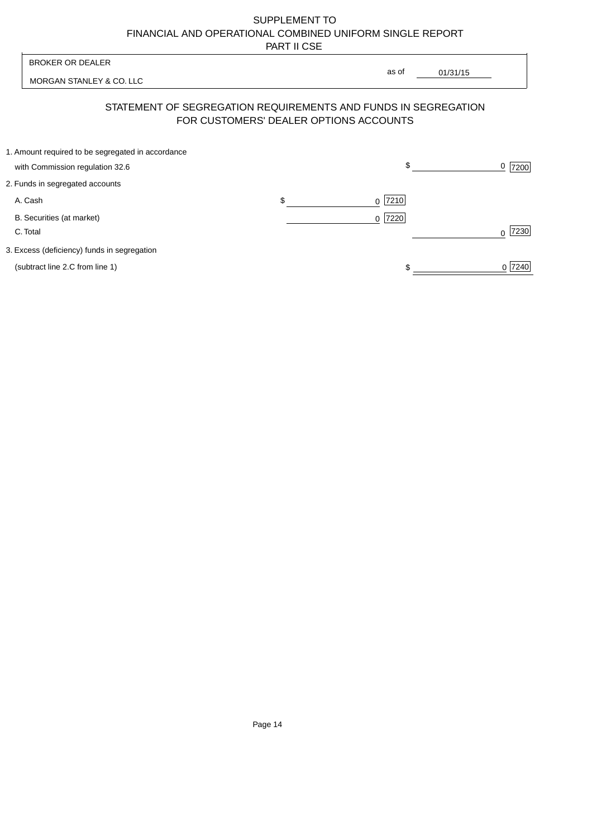MORGAN STANLEY & CO. LLC

01/31/15 

as of

## STATEMENT OF SEGREGATION REQUIREMENTS AND FUNDS IN SEGREGATION FOR CUSTOMERS' DEALER OPTIONS ACCOUNTS

| 1. Amount required to be segregated in accordance |     |           |                  |
|---------------------------------------------------|-----|-----------|------------------|
| with Commission regulation 32.6                   |     | \$        | 7200             |
| 2. Funds in segregated accounts                   |     |           |                  |
| A. Cash                                           | \$. | $0$  7210 |                  |
| B. Securities (at market)                         |     | $0$  7220 |                  |
| C. Total                                          |     |           | 7230<br>$\Omega$ |
| 3. Excess (deficiency) funds in segregation       |     |           |                  |
| (subtract line 2.C from line 1)                   |     |           | 0 7240           |
|                                                   |     |           |                  |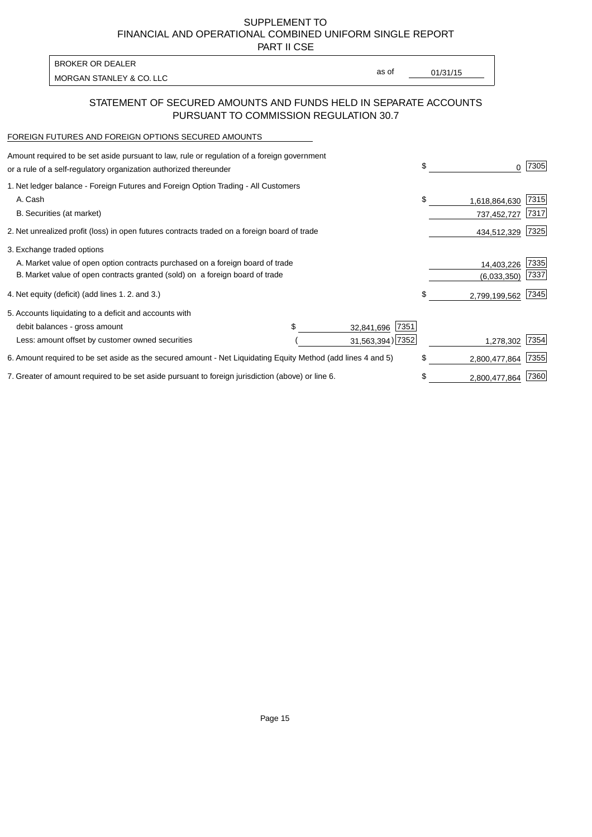PART II CSE

| BROKER OR DEALER         |       |          |
|--------------------------|-------|----------|
| MORGAN STANLEY & CO. LLC | as of | 01/31/15 |

### STATEMENT OF SECURED AMOUNTS AND FUNDS HELD IN SEPARATE ACCOUNTS PURSUANT TO COMMISSION REGULATION 30.7

#### FOREIGN FUTURES AND FOREIGN OPTIONS SECURED AMOUNTS

| Amount required to be set aside pursuant to law, rule or regulation of a foreign government<br>or a rule of a self-regulatory organization authorized thereunder |  |                    | \$ | 0             | 7305 |
|------------------------------------------------------------------------------------------------------------------------------------------------------------------|--|--------------------|----|---------------|------|
| 1. Net ledger balance - Foreign Futures and Foreign Option Trading - All Customers                                                                               |  |                    |    |               |      |
| A. Cash                                                                                                                                                          |  |                    | \$ | 1,618,864,630 | 7315 |
| B. Securities (at market)                                                                                                                                        |  |                    |    | 737,452,727   | 7317 |
| 2. Net unrealized profit (loss) in open futures contracts traded on a foreign board of trade                                                                     |  |                    |    | 434,512,329   | 7325 |
| 3. Exchange traded options                                                                                                                                       |  |                    |    |               |      |
| A. Market value of open option contracts purchased on a foreign board of trade                                                                                   |  |                    |    | 14,403,226    | 7335 |
| B. Market value of open contracts granted (sold) on a foreign board of trade                                                                                     |  |                    |    | (6,033,350)   | 7337 |
| 4. Net equity (deficit) (add lines 1.2. and 3.)                                                                                                                  |  |                    | \$ | 2,799,199,562 | 7345 |
| 5. Accounts liquidating to a deficit and accounts with                                                                                                           |  |                    |    |               |      |
| debit balances - gross amount                                                                                                                                    |  | 7351<br>32,841,696 |    |               |      |
| Less: amount offset by customer owned securities                                                                                                                 |  | 31,563,394) 7352   |    | 1,278,302     | 7354 |
| 6. Amount required to be set aside as the secured amount - Net Liquidating Equity Method (add lines 4 and 5)                                                     |  |                    | \$ | 2,800,477,864 | 7355 |
| 7. Greater of amount required to be set aside pursuant to foreign jurisdiction (above) or line 6.                                                                |  |                    | \$ | 2,800,477,864 | 7360 |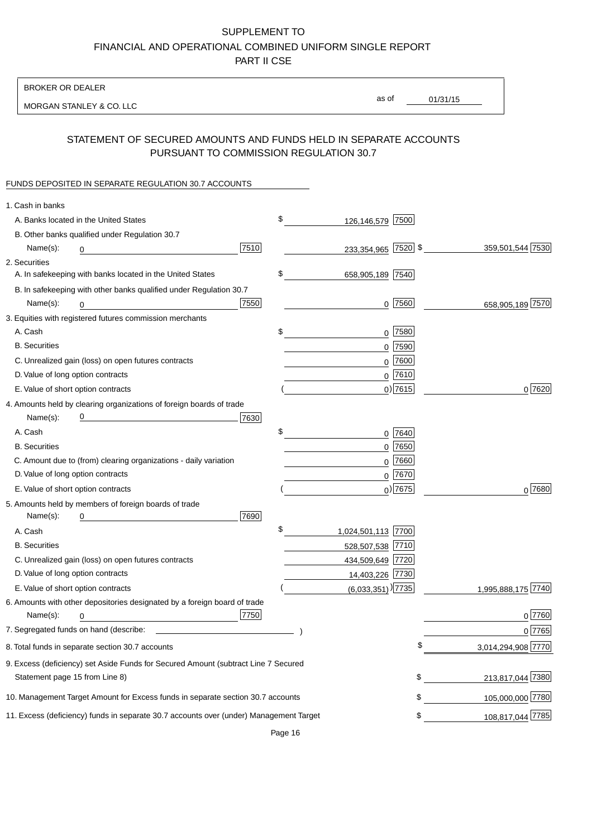BROKER OR DEALER

MORGAN STANLEY & CO. LLC

01/31/15

as of

## STATEMENT OF SECURED AMOUNTS AND FUNDS HELD IN SEPARATE ACCOUNTS PURSUANT TO COMMISSION REGULATION 30.7

#### FUNDS DEPOSITED IN SEPARATE REGULATION 30.7 ACCOUNTS

| 1. Cash in banks                   |                                                                                        |      |                               |             |                    |
|------------------------------------|----------------------------------------------------------------------------------------|------|-------------------------------|-------------|--------------------|
|                                    | A. Banks located in the United States                                                  |      | \$<br>126,146,579             | 7500        |                    |
|                                    | B. Other banks qualified under Regulation 30.7                                         |      |                               |             |                    |
| Name(s):                           | 0                                                                                      | 7510 | 233,354,965 7520 \$           |             | 359,501,544 7530   |
| 2. Securities                      |                                                                                        |      |                               |             |                    |
|                                    | A. In safekeeping with banks located in the United States                              |      | \$<br>658,905,189 7540        |             |                    |
|                                    | B. In safekeeping with other banks qualified under Regulation 30.7                     |      |                               |             |                    |
| Name(s):                           | 0                                                                                      | 7550 |                               | $0$  7560   | 658,905,189 7570   |
|                                    | 3. Equities with registered futures commission merchants                               |      |                               |             |                    |
| A. Cash                            |                                                                                        |      | \$                            | 0 7580      |                    |
| <b>B.</b> Securities               |                                                                                        |      |                               | $0$ 7590    |                    |
|                                    | C. Unrealized gain (loss) on open futures contracts                                    |      |                               | $0$ 7600    |                    |
| D. Value of long option contracts  |                                                                                        |      |                               | $0^{7610}$  |                    |
| E. Value of short option contracts |                                                                                        |      |                               | $0)$ 7615   | 0 7620             |
|                                    | 4. Amounts held by clearing organizations of foreign boards of trade                   |      |                               |             |                    |
| Name(s):                           |                                                                                        | 7630 |                               |             |                    |
| A. Cash                            |                                                                                        |      | \$                            | 0 7640      |                    |
| <b>B.</b> Securities               |                                                                                        |      |                               | $0$ 7650    |                    |
|                                    | C. Amount due to (from) clearing organizations - daily variation                       |      |                               | $0$ 7660    |                    |
| D. Value of long option contracts  |                                                                                        |      |                               | 0 7670      |                    |
| E. Value of short option contracts |                                                                                        |      |                               | $_0$ ) 7675 | 0 7680             |
|                                    | 5. Amounts held by members of foreign boards of trade                                  |      |                               |             |                    |
| Name(s):                           | 0                                                                                      | 7690 |                               |             |                    |
| A. Cash                            |                                                                                        |      | \$<br>1,024,501,113 7700      |             |                    |
| <b>B.</b> Securities               |                                                                                        |      | 528,507,538 7710              |             |                    |
|                                    | C. Unrealized gain (loss) on open futures contracts                                    |      | 434,509,649 7720              |             |                    |
| D. Value of long option contracts  |                                                                                        |      | 14,403,226 7730               |             |                    |
| E. Value of short option contracts |                                                                                        |      | $(6,033,351)$ <sup>2735</sup> |             | 1,995,888,175 7740 |
|                                    | 6. Amounts with other depositories designated by a foreign board of trade              |      |                               |             |                    |
| Name(s):                           | 0                                                                                      | 7750 |                               |             | 0 7760             |
|                                    |                                                                                        |      |                               |             | 0 7765             |
|                                    | 8. Total funds in separate section 30.7 accounts                                       |      |                               |             | 3,014,294,908 7770 |
|                                    | 9. Excess (deficiency) set Aside Funds for Secured Amount (subtract Line 7 Secured     |      |                               |             |                    |
| Statement page 15 from Line 8)     |                                                                                        |      |                               | \$          | 213,817,044 7380   |
|                                    | 10. Management Target Amount for Excess funds in separate section 30.7 accounts        |      |                               | \$          | 105,000,000 7780   |
|                                    | 11. Excess (deficiency) funds in separate 30.7 accounts over (under) Management Target |      |                               | \$          | 108,817,044 7785   |
|                                    |                                                                                        |      |                               |             |                    |

Page 16